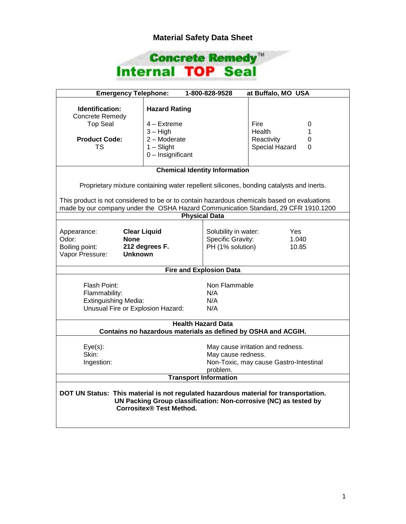## **Material Safety Data Sheet**



| <b>Emergency Telephone:</b><br>1-800-828-9528<br>at Buffalo, MO USA                                                                                                                  |                      |                                                              |                |   |  |
|--------------------------------------------------------------------------------------------------------------------------------------------------------------------------------------|----------------------|--------------------------------------------------------------|----------------|---|--|
| Identification:                                                                                                                                                                      | <b>Hazard Rating</b> |                                                              |                |   |  |
| <b>Concrete Remedy</b>                                                                                                                                                               |                      |                                                              |                |   |  |
| <b>Top Seal</b>                                                                                                                                                                      | 4 – Extreme          |                                                              | Fire           | 0 |  |
|                                                                                                                                                                                      | $3 - High$           |                                                              | Health         | 1 |  |
| <b>Product Code:</b>                                                                                                                                                                 | 2 - Moderate         |                                                              | Reactivity     | 0 |  |
| TS.                                                                                                                                                                                  | $1 -$ Slight         |                                                              | Special Hazard | 0 |  |
|                                                                                                                                                                                      | 0 - Insignificant    |                                                              |                |   |  |
| <b>Chemical Identity Information</b>                                                                                                                                                 |                      |                                                              |                |   |  |
|                                                                                                                                                                                      |                      |                                                              |                |   |  |
| Proprietary mixture containing water repellent silicones, bonding catalysts and inerts.                                                                                              |                      |                                                              |                |   |  |
| This product is not considered to be or to contain hazardous chemicals based on evaluations<br>made by our company under the OSHA Hazard Communication Standard, 29 CFR 1910.1200    |                      |                                                              |                |   |  |
|                                                                                                                                                                                      |                      | <b>Physical Data</b>                                         |                |   |  |
|                                                                                                                                                                                      |                      |                                                              |                |   |  |
| <b>Clear Liquid</b><br>Appearance:                                                                                                                                                   |                      | Solubility in water:                                         | Yes            |   |  |
| <b>None</b><br>Odor:                                                                                                                                                                 |                      | Specific Gravity:<br>1.040                                   |                |   |  |
| Boiling point:                                                                                                                                                                       | 212 degrees F.       | PH (1% solution)<br>10.85                                    |                |   |  |
| Vapor Pressure:<br><b>Unknown</b>                                                                                                                                                    |                      |                                                              |                |   |  |
|                                                                                                                                                                                      |                      |                                                              |                |   |  |
| <b>Fire and Explosion Data</b>                                                                                                                                                       |                      |                                                              |                |   |  |
| Flash Point:                                                                                                                                                                         |                      | Non Flammable                                                |                |   |  |
| Flammability:                                                                                                                                                                        |                      | N/A                                                          |                |   |  |
| <b>Extinguishing Media:</b>                                                                                                                                                          |                      | N/A                                                          |                |   |  |
| Unusual Fire or Explosion Hazard:                                                                                                                                                    |                      | N/A                                                          |                |   |  |
|                                                                                                                                                                                      |                      |                                                              |                |   |  |
| <b>Health Hazard Data</b>                                                                                                                                                            |                      |                                                              |                |   |  |
| Contains no hazardous materials as defined by OSHA and ACGIH.                                                                                                                        |                      |                                                              |                |   |  |
|                                                                                                                                                                                      |                      |                                                              |                |   |  |
| $Eye(s)$ :<br>Skin:                                                                                                                                                                  |                      | May cause irritation and redness.                            |                |   |  |
|                                                                                                                                                                                      |                      | May cause redness.<br>Non-Toxic, may cause Gastro-Intestinal |                |   |  |
| Ingestion:                                                                                                                                                                           |                      | problem.                                                     |                |   |  |
| <b>Transport Information</b>                                                                                                                                                         |                      |                                                              |                |   |  |
|                                                                                                                                                                                      |                      |                                                              |                |   |  |
| DOT UN Status: This material is not regulated hazardous material for transportation.<br>UN Packing Group classification: Non-corrosive (NC) as tested by<br>Corrositex® Test Method. |                      |                                                              |                |   |  |